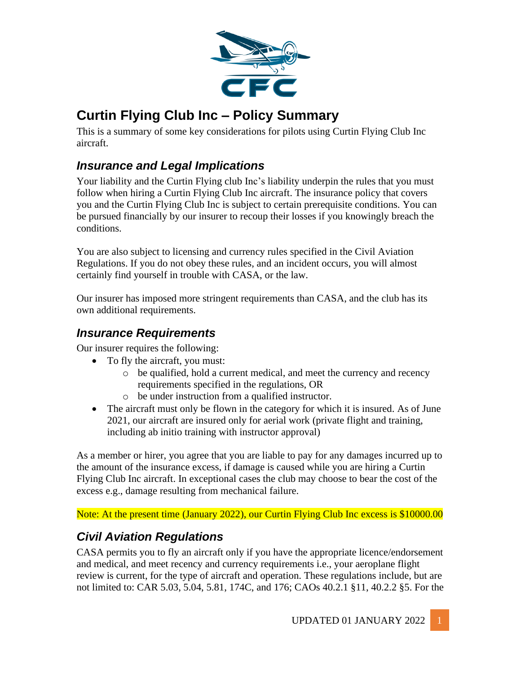

# **Curtin Flying Club Inc – Policy Summary**

This is a summary of some key considerations for pilots using Curtin Flying Club Inc aircraft.

### *Insurance and Legal Implications*

Your liability and the Curtin Flying club Inc's liability underpin the rules that you must follow when hiring a Curtin Flying Club Inc aircraft. The insurance policy that covers you and the Curtin Flying Club Inc is subject to certain prerequisite conditions. You can be pursued financially by our insurer to recoup their losses if you knowingly breach the conditions.

You are also subject to licensing and currency rules specified in the Civil Aviation Regulations. If you do not obey these rules, and an incident occurs, you will almost certainly find yourself in trouble with CASA, or the law.

Our insurer has imposed more stringent requirements than CASA, and the club has its own additional requirements.

### *Insurance Requirements*

Our insurer requires the following:

- To fly the aircraft, you must:
	- o be qualified, hold a current medical, and meet the currency and recency requirements specified in the regulations, OR
	- o be under instruction from a qualified instructor.
- The aircraft must only be flown in the category for which it is insured. As of June 2021, our aircraft are insured only for aerial work (private flight and training, including ab initio training with instructor approval)

As a member or hirer, you agree that you are liable to pay for any damages incurred up to the amount of the insurance excess, if damage is caused while you are hiring a Curtin Flying Club Inc aircraft. In exceptional cases the club may choose to bear the cost of the excess e.g., damage resulting from mechanical failure.

Note: At the present time (January 2022), our Curtin Flying Club Inc excess is \$10000.00

## *Civil Aviation Regulations*

CASA permits you to fly an aircraft only if you have the appropriate licence/endorsement and medical, and meet recency and currency requirements i.e., your aeroplane flight review is current, for the type of aircraft and operation. These regulations include, but are not limited to: CAR 5.03, 5.04, 5.81, 174C, and 176; CAOs 40.2.1 §11, 40.2.2 §5. For the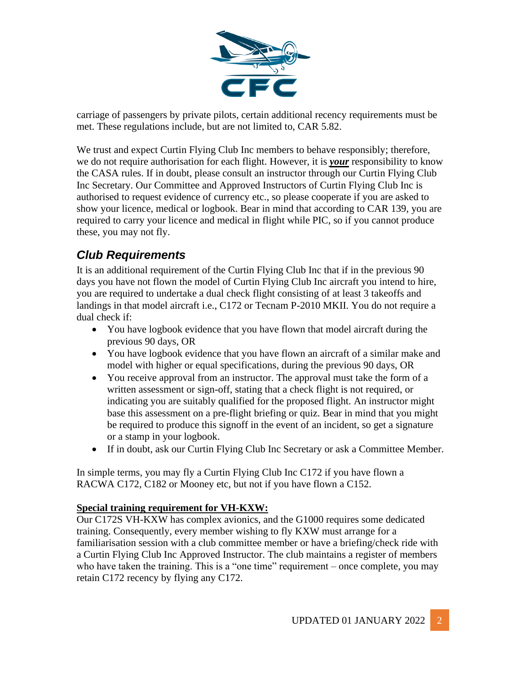

carriage of passengers by private pilots, certain additional recency requirements must be met. These regulations include, but are not limited to, CAR 5.82.

We trust and expect Curtin Flying Club Inc members to behave responsibly; therefore, we do not require authorisation for each flight. However, it is *your* responsibility to know the CASA rules. If in doubt, please consult an instructor through our Curtin Flying Club Inc Secretary. Our Committee and Approved Instructors of Curtin Flying Club Inc is authorised to request evidence of currency etc., so please cooperate if you are asked to show your licence, medical or logbook. Bear in mind that according to CAR 139, you are required to carry your licence and medical in flight while PIC, so if you cannot produce these, you may not fly.

## *Club Requirements*

It is an additional requirement of the Curtin Flying Club Inc that if in the previous 90 days you have not flown the model of Curtin Flying Club Inc aircraft you intend to hire, you are required to undertake a dual check flight consisting of at least 3 takeoffs and landings in that model aircraft i.e., C172 or Tecnam P-2010 MKII. You do not require a dual check if:

- You have logbook evidence that you have flown that model aircraft during the previous 90 days, OR
- You have logbook evidence that you have flown an aircraft of a similar make and model with higher or equal specifications, during the previous 90 days, OR
- You receive approval from an instructor. The approval must take the form of a written assessment or sign-off, stating that a check flight is not required, or indicating you are suitably qualified for the proposed flight. An instructor might base this assessment on a pre-flight briefing or quiz. Bear in mind that you might be required to produce this signoff in the event of an incident, so get a signature or a stamp in your logbook.
- If in doubt, ask our Curtin Flying Club Inc Secretary or ask a Committee Member.

In simple terms, you may fly a Curtin Flying Club Inc C172 if you have flown a RACWA C172, C182 or Mooney etc, but not if you have flown a C152.

#### **Special training requirement for VH-KXW:**

Our C172S VH-KXW has complex avionics, and the G1000 requires some dedicated training. Consequently, every member wishing to fly KXW must arrange for a familiarisation session with a club committee member or have a briefing/check ride with a Curtin Flying Club Inc Approved Instructor. The club maintains a register of members who have taken the training. This is a "one time" requirement – once complete, you may retain C172 recency by flying any C172.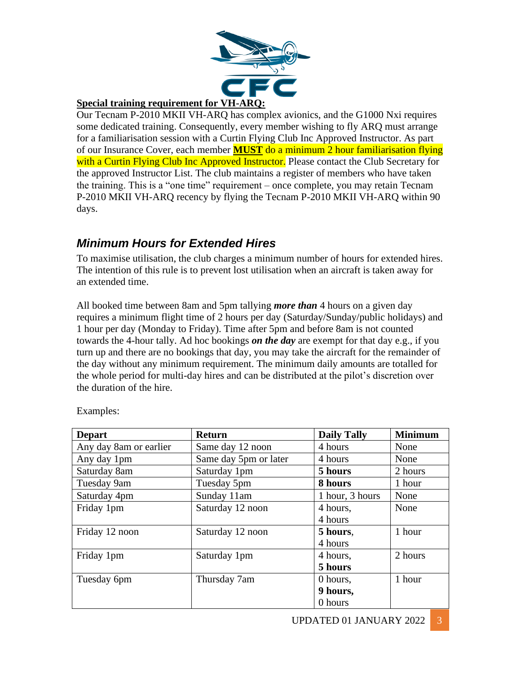

#### **Special training requirement for VH-ARQ:**

Our Tecnam P-2010 MKII VH-ARQ has complex avionics, and the G1000 Nxi requires some dedicated training. Consequently, every member wishing to fly ARQ must arrange for a familiarisation session with a Curtin Flying Club Inc Approved Instructor. As part of our Insurance Cover, each member **MUST** do a minimum 2 hour familiarisation flying with a Curtin Flying Club Inc Approved Instructor. Please contact the Club Secretary for the approved Instructor List. The club maintains a register of members who have taken the training. This is a "one time" requirement – once complete, you may retain Tecnam P-2010 MKII VH-ARQ recency by flying the Tecnam P-2010 MKII VH-ARQ within 90 days.

### *Minimum Hours for Extended Hires*

To maximise utilisation, the club charges a minimum number of hours for extended hires. The intention of this rule is to prevent lost utilisation when an aircraft is taken away for an extended time.

All booked time between 8am and 5pm tallying *more than* 4 hours on a given day requires a minimum flight time of 2 hours per day (Saturday/Sunday/public holidays) and 1 hour per day (Monday to Friday). Time after 5pm and before 8am is not counted towards the 4-hour tally. Ad hoc bookings *on the day* are exempt for that day e.g., if you turn up and there are no bookings that day, you may take the aircraft for the remainder of the day without any minimum requirement. The minimum daily amounts are totalled for the whole period for multi-day hires and can be distributed at the pilot's discretion over the duration of the hire.

| <b>Depart</b>          | <b>Return</b>         | <b>Daily Tally</b> | <b>Minimum</b> |  |
|------------------------|-----------------------|--------------------|----------------|--|
| Any day 8am or earlier | Same day 12 noon      | 4 hours            | None           |  |
| Any day 1pm            | Same day 5pm or later | 4 hours            | None           |  |
| Saturday 8am           | Saturday 1pm          | 5 hours            | 2 hours        |  |
| Tuesday 9am            | Tuesday 5pm           | 8 hours            | 1 hour         |  |
| Saturday 4pm           | Sunday 11am           | 1 hour, 3 hours    | None           |  |
| Friday 1pm             | Saturday 12 noon      | 4 hours,           | None           |  |
|                        |                       | 4 hours            |                |  |
| Friday 12 noon         | Saturday 12 noon      | 5 hours,           | 1 hour         |  |
|                        |                       | 4 hours            |                |  |
| Friday 1pm             | Saturday 1pm          | 4 hours,           | 2 hours        |  |
|                        |                       | 5 hours            |                |  |
| Tuesday 6pm            | Thursday 7am          | 0 hours.           | 1 hour         |  |
|                        |                       | 9 hours,           |                |  |
|                        |                       | 0 hours            |                |  |

Examples: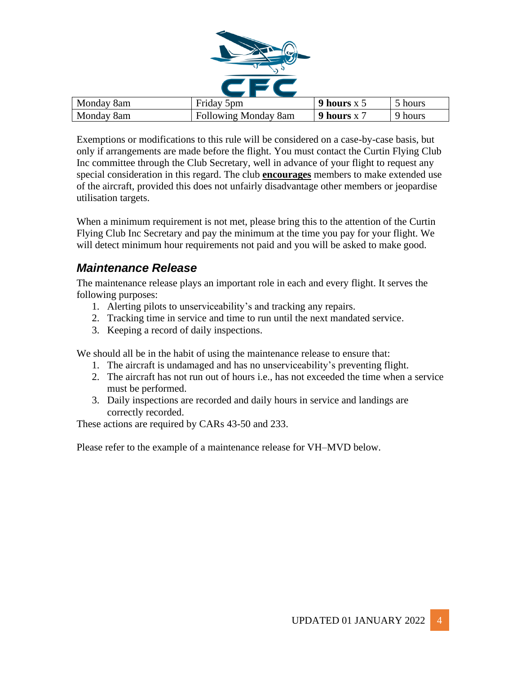

| Monday 8am | Friday 5pm                  | 9 hours $x$ 5 | 5 hours |
|------------|-----------------------------|---------------|---------|
| Monday 8am | <b>Following Monday 8am</b> | 9 hours x     | 9 hours |

Exemptions or modifications to this rule will be considered on a case-by-case basis, but only if arrangements are made before the flight. You must contact the Curtin Flying Club Inc committee through the Club Secretary, well in advance of your flight to request any special consideration in this regard. The club **encourages** members to make extended use of the aircraft, provided this does not unfairly disadvantage other members or jeopardise utilisation targets.

When a minimum requirement is not met, please bring this to the attention of the Curtin Flying Club Inc Secretary and pay the minimum at the time you pay for your flight. We will detect minimum hour requirements not paid and you will be asked to make good.

### *Maintenance Release*

The maintenance release plays an important role in each and every flight. It serves the following purposes:

- 1. Alerting pilots to unserviceability's and tracking any repairs.
- 2. Tracking time in service and time to run until the next mandated service.
- 3. Keeping a record of daily inspections.

We should all be in the habit of using the maintenance release to ensure that:

- 1. The aircraft is undamaged and has no unserviceability's preventing flight.
- 2. The aircraft has not run out of hours i.e., has not exceeded the time when a service must be performed.
- 3. Daily inspections are recorded and daily hours in service and landings are correctly recorded.

These actions are required by CARs 43-50 and 233.

Please refer to the example of a maintenance release for VH–MVD below.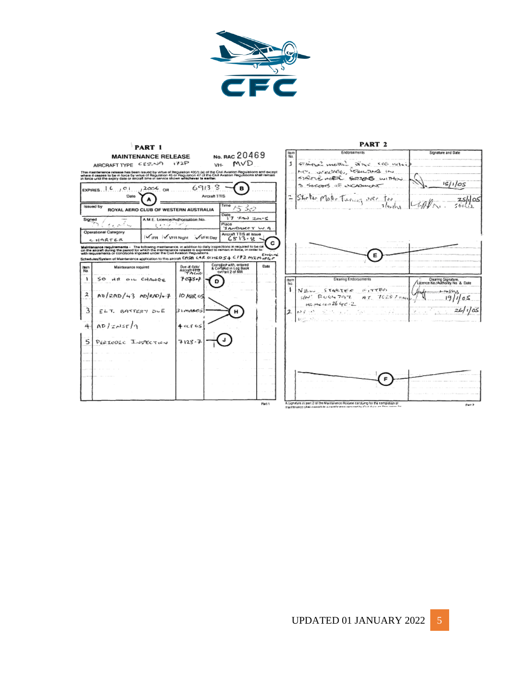

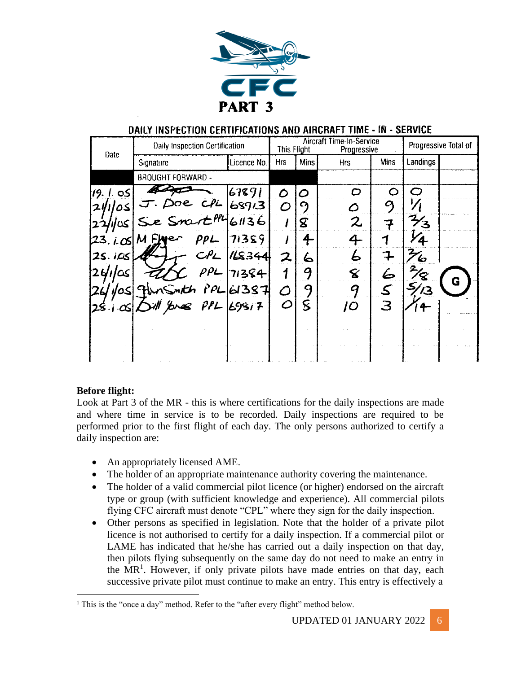

#### DAILY INSPECTION CERTIFICATIONS AND AIRCRAFT TIME - IN - SERVICE

| <b>Date</b>     | Daily Inspection Certification |             | <b>Aircraft Time-In-Service</b><br>This Flight |                   | Progressive |             | Progressive Total of |   |
|-----------------|--------------------------------|-------------|------------------------------------------------|-------------------|-------------|-------------|----------------------|---|
|                 | Signature                      | Licence No. | <b>Hrs</b>                                     | <b>Mins</b>       | <b>Hrs</b>  | <b>Mins</b> | Landings             |   |
|                 | <b>BROUGHT FORWARD -</b>       |             |                                                |                   |             |             |                      |   |
| 19. I. os       |                                | 67891       | Ο                                              | $\mathcal{O}$     | O           | O           | $\bm{\mathsf{C}}$    |   |
| 21/1/05         | oe ch                          | 68913       |                                                | $\mathcal{C}_{2}$ | Õ           | g           |                      |   |
| کت انا          | Se Snart <sup>PPL</sup> 61136  |             |                                                | ${\bf z}$         | 2           | 7           | ح م                  |   |
| 123. j. 051     | M Fluer<br>PPL                 | 71359       |                                                | $\ddot{\tau}$     | 4           |             | ΄4                   |   |
| 25.105          | CPL                            | 148344      | 2                                              | 6                 | Ь           |             | $\mathcal{H}_b$      |   |
| 2 <i>4110</i> s | $\rho\rho_L$                   | 71384       | 1                                              | 9                 | 8           |             | 8                    | G |
| 10S             | nsinth PPL 61387               |             |                                                | 9                 | q           |             | 43                   |   |
| $28.1 -$        | 11 Enes PPL Eggi7              |             | $\subset$                                      | 8                 | jΟ          | З           |                      |   |
|                 |                                |             |                                                |                   |             |             |                      |   |
|                 |                                |             |                                                |                   |             |             |                      |   |
|                 |                                |             |                                                |                   |             |             |                      |   |

#### **Before flight:**

Look at Part 3 of the MR - this is where certifications for the daily inspections are made and where time in service is to be recorded. Daily inspections are required to be performed prior to the first flight of each day. The only persons authorized to certify a daily inspection are:

- An appropriately licensed AME.
- The holder of an appropriate maintenance authority covering the maintenance.
- The holder of a valid commercial pilot licence (or higher) endorsed on the aircraft type or group (with sufficient knowledge and experience). All commercial pilots flying CFC aircraft must denote "CPL" where they sign for the daily inspection.
- Other persons as specified in legislation. Note that the holder of a private pilot licence is not authorised to certify for a daily inspection. If a commercial pilot or LAME has indicated that he/she has carried out a daily inspection on that day, then pilots flying subsequently on the same day do not need to make an entry in the  $MR<sup>1</sup>$ . However, if only private pilots have made entries on that day, each successive private pilot must continue to make an entry. This entry is effectively a

 $<sup>1</sup>$  This is the "once a day" method. Refer to the "after every flight" method below.</sup>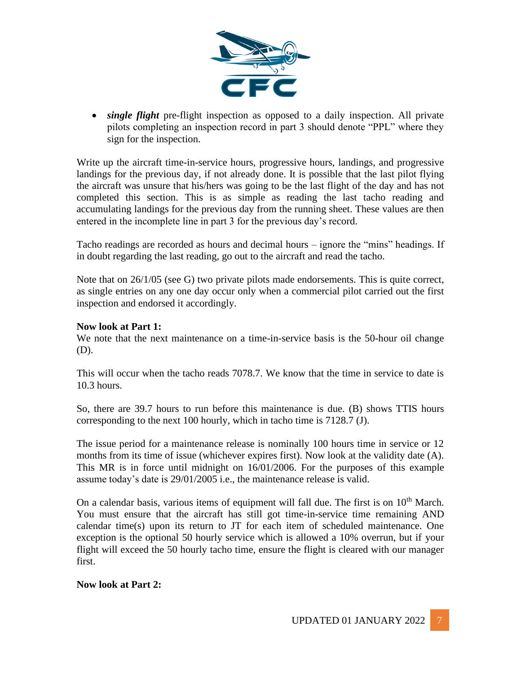

• *single flight* pre-flight inspection as opposed to a daily inspection. All private pilots completing an inspection record in part 3 should denote "PPL" where they sign for the inspection.

Write up the aircraft time-in-service hours, progressive hours, landings, and progressive landings for the previous day, if not already done. It is possible that the last pilot flying the aircraft was unsure that his/hers was going to be the last flight of the day and has not completed this section. This is as simple as reading the last tacho reading and accumulating landings for the previous day from the running sheet. These values are then entered in the incomplete line in part 3 for the previous day's record.

Tacho readings are recorded as hours and decimal hours – ignore the "mins" headings. If in doubt regarding the last reading, go out to the aircraft and read the tacho.

Note that on 26/1/05 (see G) two private pilots made endorsements. This is quite correct, as single entries on any one day occur only when a commercial pilot carried out the first inspection and endorsed it accordingly.

#### **Now look at Part 1:**

We note that the next maintenance on a time-in-service basis is the 50-hour oil change (D).

This will occur when the tacho reads 7078.7. We know that the time in service to date is 10.3 hours.

So, there are 39.7 hours to run before this maintenance is due. (B) shows TTIS hours corresponding to the next 100 hourly, which in tacho time is 7128.7 (J).

The issue period for a maintenance release is nominally 100 hours time in service or 12 months from its time of issue (whichever expires first). Now look at the validity date (A). This MR is in force until midnight on 16/01/2006. For the purposes of this example assume today's date is 29/01/2005 i.e., the maintenance release is valid.

On a calendar basis, various items of equipment will fall due. The first is on  $10<sup>th</sup>$  March. You must ensure that the aircraft has still got time-in-service time remaining AND calendar time(s) upon its return to JT for each item of scheduled maintenance. One exception is the optional 50 hourly service which is allowed a 10% overrun, but if your flight will exceed the 50 hourly tacho time, ensure the flight is cleared with our manager first.

#### **Now look at Part 2:**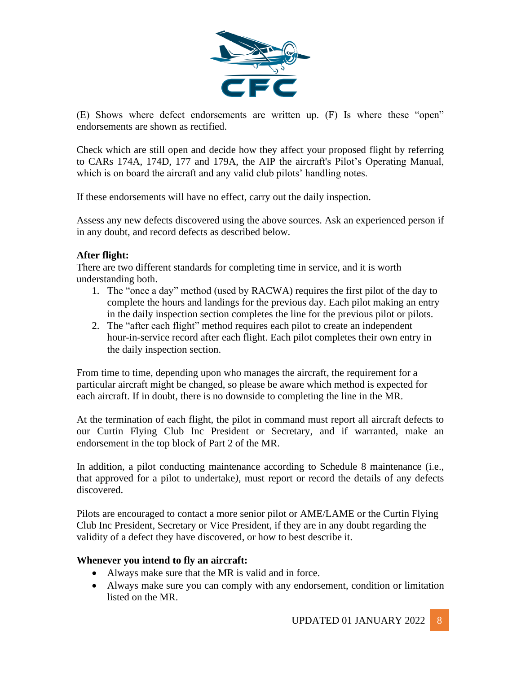

(E) Shows where defect endorsements are written up. (F) Is where these "open" endorsements are shown as rectified.

Check which are still open and decide how they affect your proposed flight by referring to CARs 174A, 174D, 177 and 179A, the AIP the aircraft's Pilot's Operating Manual, which is on board the aircraft and any valid club pilots' handling notes.

If these endorsements will have no effect, carry out the daily inspection.

Assess any new defects discovered using the above sources. Ask an experienced person if in any doubt, and record defects as described below.

#### **After flight:**

There are two different standards for completing time in service, and it is worth understanding both.

- 1. The "once a day" method (used by RACWA) requires the first pilot of the day to complete the hours and landings for the previous day. Each pilot making an entry in the daily inspection section completes the line for the previous pilot or pilots.
- 2. The "after each flight" method requires each pilot to create an independent hour-in-service record after each flight. Each pilot completes their own entry in the daily inspection section.

From time to time, depending upon who manages the aircraft, the requirement for a particular aircraft might be changed, so please be aware which method is expected for each aircraft. If in doubt, there is no downside to completing the line in the MR.

At the termination of each flight, the pilot in command must report all aircraft defects to our Curtin Flying Club Inc President or Secretary, and if warranted, make an endorsement in the top block of Part 2 of the MR.

In addition, a pilot conducting maintenance according to Schedule 8 maintenance (i.e., that approved for a pilot to undertake*)*, must report or record the details of any defects discovered.

Pilots are encouraged to contact a more senior pilot or AME/LAME or the Curtin Flying Club Inc President, Secretary or Vice President, if they are in any doubt regarding the validity of a defect they have discovered, or how to best describe it.

#### **Whenever you intend to fly an aircraft:**

- Always make sure that the MR is valid and in force.
- Always make sure you can comply with any endorsement, condition or limitation listed on the MR.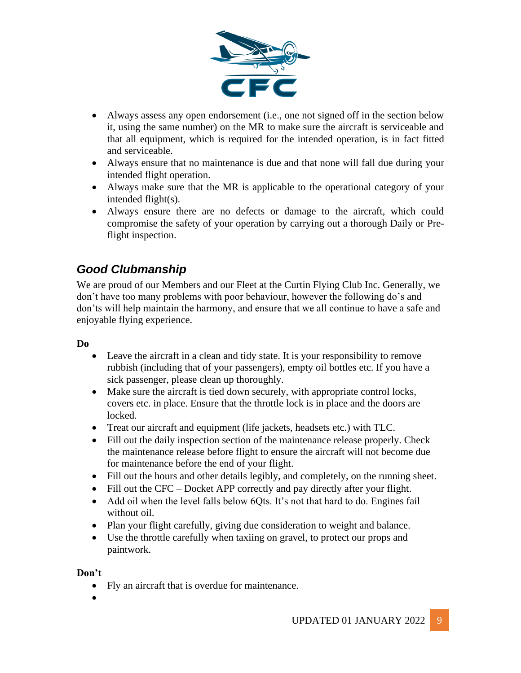

- Always assess any open endorsement (i.e., one not signed off in the section below it, using the same number) on the MR to make sure the aircraft is serviceable and that all equipment, which is required for the intended operation, is in fact fitted and serviceable.
- Always ensure that no maintenance is due and that none will fall due during your intended flight operation.
- Always make sure that the MR is applicable to the operational category of your intended flight(s).
- Always ensure there are no defects or damage to the aircraft, which could compromise the safety of your operation by carrying out a thorough Daily or Preflight inspection.

## *Good Clubmanship*

We are proud of our Members and our Fleet at the Curtin Flying Club Inc. Generally, we don't have too many problems with poor behaviour, however the following do's and don'ts will help maintain the harmony, and ensure that we all continue to have a safe and enjoyable flying experience.

#### **Do**

- Leave the aircraft in a clean and tidy state. It is your responsibility to remove rubbish (including that of your passengers), empty oil bottles etc. If you have a sick passenger, please clean up thoroughly.
- Make sure the aircraft is tied down securely, with appropriate control locks, covers etc. in place. Ensure that the throttle lock is in place and the doors are locked.
- Treat our aircraft and equipment (life jackets, headsets etc.) with TLC.
- Fill out the daily inspection section of the maintenance release properly. Check the maintenance release before flight to ensure the aircraft will not become due for maintenance before the end of your flight.
- Fill out the hours and other details legibly, and completely, on the running sheet.
- Fill out the CFC Docket APP correctly and pay directly after your flight.
- Add oil when the level falls below 6Qts. It's not that hard to do. Engines fail without oil.
- Plan your flight carefully, giving due consideration to weight and balance.
- Use the throttle carefully when taxiing on gravel, to protect our props and paintwork.

#### **Don't**

- Fly an aircraft that is overdue for maintenance.
- •